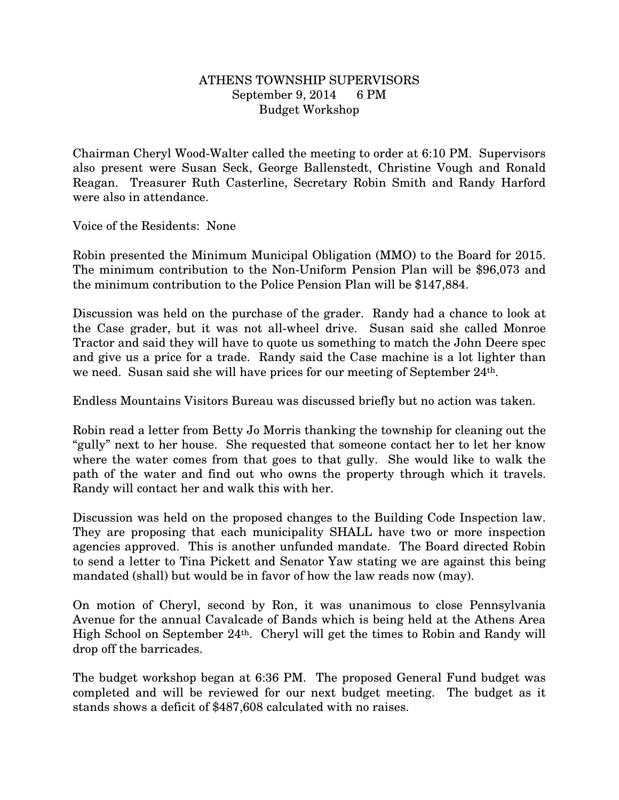## ATHENS TOWNSHIP SUPERVISORS September 9, 2014 6 PM Budget Workshop

Chairman Cheryl Wood-Walter called the meeting to order at 6:10 PM. Supervisors also present were Susan Seck, George Ballenstedt, Christine Vough and Ronald Reagan. Treasurer Ruth Casterline, Secretary Robin Smith and Randy Harford were also in attendance.

Voice of the Residents: None

Robin presented the Minimum Municipal Obligation (MMO) to the Board for 2015. The minimum contribution to the Non-Uniform Pension Plan will be \$96,073 and the minimum contribution to the Police Pension Plan will be \$147,884.

Discussion was held on the purchase of the grader. Randy had a chance to look at the Case grader, but it was not all-wheel drive. Susan said she called Monroe Tractor and said they will have to quote us something to match the John Deere spec and give us a price for a trade. Randy said the Case machine is a lot lighter than we need. Susan said she will have prices for our meeting of September 24th.

Endless Mountains Visitors Bureau was discussed briefly but no action was taken.

Robin read a letter from Betty Jo Morris thanking the township for cleaning out the "gully" next to her house. She requested that someone contact her to let her know where the water comes from that goes to that gully. She would like to walk the path of the water and find out who owns the property through which it travels. Randy will contact her and walk this with her.

Discussion was held on the proposed changes to the Building Code Inspection law. They are proposing that each municipality SHALL have two or more inspection agencies approved. This is another unfunded mandate. The Board directed Robin to send a letter to Tina Pickett and Senator Yaw stating we are against this being mandated (shall) but would be in favor of how the law reads now (may).

On motion of Cheryl, second by Ron, it was unanimous to close Pennsylvania Avenue for the annual Cavalcade of Bands which is being held at the Athens Area High School on September 24th. Cheryl will get the times to Robin and Randy will drop off the barricades.

The budget workshop began at 6:36 PM. The proposed General Fund budget was completed and will be reviewed for our next budget meeting. The budget as it stands shows a deficit of \$487,608 calculated with no raises.